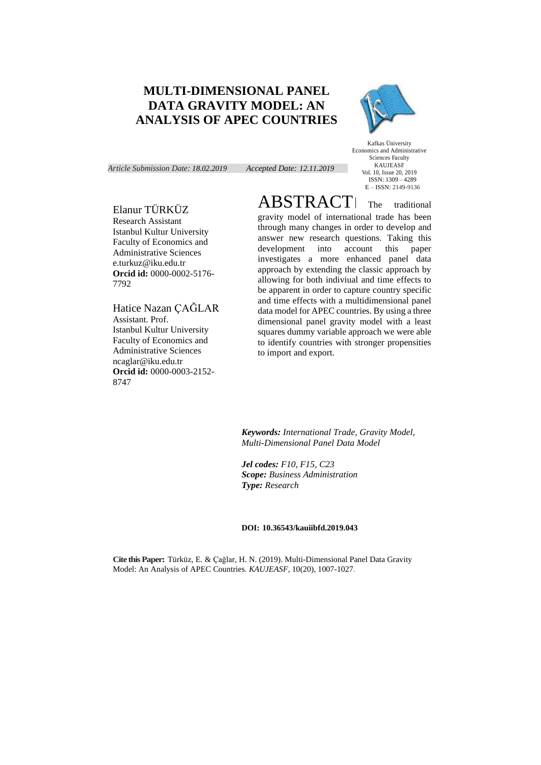# **MULTI-DIMENSIONAL PANEL DATA GRAVITY MODEL: AN ANALYSIS OF APEC COUNTRIES**



*Article Submission Date: 18.02.2019 Accepted Date: 12.11.2019*

Kafkas Üniversity Economics and Administrative Sciences Faculty KAUJEASF Vol. 10, Issue 20, 2019 ISSN: 1309 – 4289 E – ISSN: 2149-9136

# Elanur TÜRKÜZ

Research Assistant Istanbul Kultur University Faculty of Economics and Administrative Sciences e.turkuz@iku.edu.tr **Orcid id:** 0000-0002-5176- 7792

Hatice Nazan ÇAĞLAR Assistant. Prof. Istanbul Kultur University Faculty of Economics and Administrative Sciences ncaglar@iku.edu.tr **Orcid id:** 0000-0003-2152- 8747

ABSTRACT The traditional gravity model of international trade has been through many changes in order to develop and answer new research questions. Taking this development into account this paper development into investigates a more enhanced panel data approach by extending the classic approach by allowing for both indiviual and time effects to be apparent in order to capture country specific and time effects with a multidimensional panel data model for APEC countries. By using a three dimensional panel gravity model with a least squares dummy variable approach we were able to identify countries with stronger propensities to import and export.

*Keywords: International Trade, Gravity Model, Multi-Dimensional Panel Data Model*

*Jel codes: F10, F15, C23 Scope: Business Administration Type: Research*

#### **DOI: 10.36543/kauiibfd.2019.043**

**Cite this Paper:** Türküz, E. & Çağlar, H. N. (2019). Multi-Dimensional Panel Data Gravity Model: An Analysis of APEC Countries. *KAUJEASF,* 10(20), 1007-1027.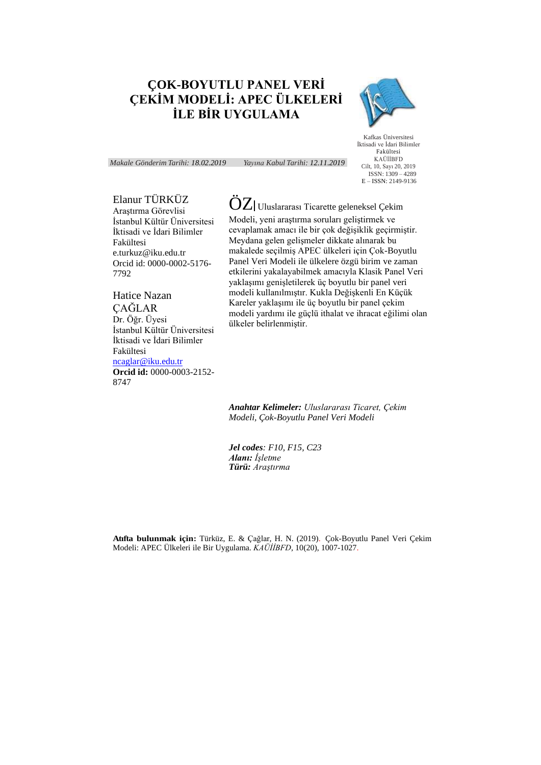# **ÇOK-BOYUTLU PANEL VERİ ÇEKİM MODELİ: APEC ÜLKELERİ İLE BİR UYGULAMA**



*Makale Gönderim Tarihi: 18.02.2019 Yayına Kabul Tarihi: 12.11.2019*

Kafkas Üniversitesi İktisadi ve İdari Bilimler Fakültesi KAÜİİBFD Cilt, 10, Sayı 20, 2019 ISSN: 1309 – 4289 E – ISSN: 2149-9136

# Elanur TÜRKÜZ

Araştırma Görevlisi İstanbul Kültür Üniversitesi İktisadi ve İdari Bilimler Fakültesi e.turkuz@iku.edu.tr Orcid id: 0000-0002-5176- 7792

Hatice Nazan ÇAĞLAR Dr. Öğr. Üyesi İstanbul Kültür Üniversitesi İktisadi ve İdari Bilimler Fakültesi [ncaglar@iku.edu.tr](mailto:ncaglar@iku.edu.tr) **Orcid id:** 0000-0003-2152- 8747

 $\ddot{\mathrm{O}}\mathrm{Z}$  Uluslararası Ticarette geleneksel Çekim Modeli, yeni araştırma soruları geliştirmek ve cevaplamak amacı ile bir çok değişiklik geçirmiştir. Meydana gelen gelişmeler dikkate alınarak bu makalede seçilmiş APEC ülkeleri için Çok-Boyutlu Panel Veri Modeli ile ülkelere özgü birim ve zaman etkilerini yakalayabilmek amacıyla Klasik Panel Veri yaklaşımı genişletilerek üç boyutlu bir panel veri modeli kullanılmıştır. Kukla Değişkenli En Küçük Kareler yaklaşımı ile üç boyutlu bir panel çekim modeli yardımı ile güçlü ithalat ve ihracat eğilimi olan ülkeler belirlenmiştir.

*Anahtar Kelimeler: Uluslararası Ticaret, Çekim Modeli, Çok-Boyutlu Panel Veri Modeli*

*Jel codes: F10, F15, C23 Alanı: İşletme Türü: Araştırma*

**Atıfta bulunmak için:** Türküz, E. & Çağlar, H. N. (2019). Çok-Boyutlu Panel Veri Çekim Modeli: APEC Ülkeleri ile Bir Uygulama. *KAÜİİBFD,* 10(20), 1007-1027.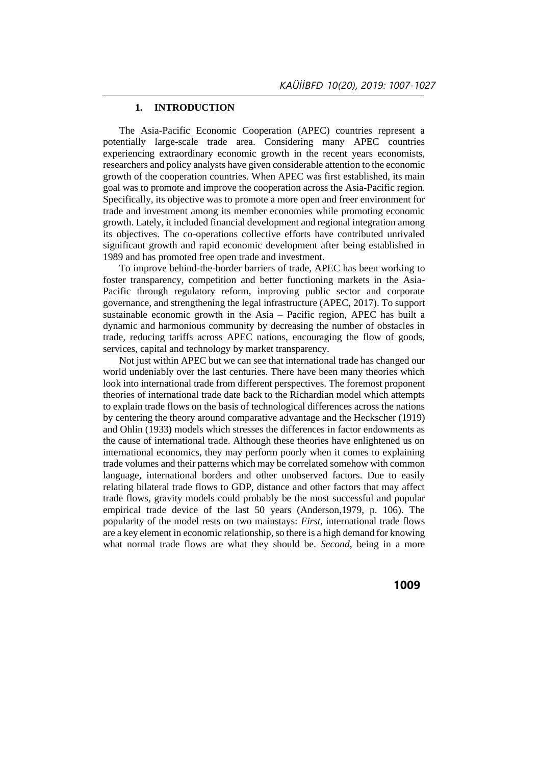# **1. INTRODUCTION**

The Asia-Pacific Economic Cooperation (APEC) countries represent a potentially large-scale trade area. Considering many APEC countries experiencing extraordinary economic growth in the recent years economists, researchers and policy analysts have given considerable attention to the economic growth of the cooperation countries. When APEC was first established, its main goal was to promote and improve the cooperation across the Asia-Pacific region. Specifically, its objective was to promote a more open and freer environment for trade and investment among its member economies while promoting economic growth. Lately, it included financial development and regional integration among its objectives. The co-operations collective efforts have contributed unrivaled significant growth and rapid economic development after being established in 1989 and has promoted free open trade and investment.

To improve behind-the-border barriers of trade, APEC has been working to foster transparency, competition and better functioning markets in the Asia-Pacific through regulatory reform, improving public sector and corporate governance, and strengthening the legal infrastructure (APEC, 2017). To support sustainable economic growth in the Asia – Pacific region, APEC has built a dynamic and harmonious community by decreasing the number of obstacles in trade, reducing tariffs across APEC nations, encouraging the flow of goods, services, capital and technology by market transparency.

Not just within APEC but we can see that international trade has changed our world undeniably over the last centuries. There have been many theories which look into international trade from different perspectives. The foremost proponent theories of international trade date back to the Richardian model which attempts to explain trade flows on the basis of technological differences across the nations by centering the theory around comparative advantage and the Heckscher (1919) and Ohlin (1933**)** models which stresses the differences in factor endowments as the cause of international trade. Although these theories have enlightened us on international economics, they may perform poorly when it comes to explaining trade volumes and their patterns which may be correlated somehow with common language, international borders and other unobserved factors. Due to easily relating bilateral trade flows to GDP, distance and other factors that may affect trade flows, gravity models could probably be the most successful and popular empirical trade device of the last 50 years (Anderson,1979, p. 106). The popularity of the model rests on two mainstays: *First*, international trade flows are a key element in economic relationship, so there is a high demand for knowing what normal trade flows are what they should be. *Second*, being in a more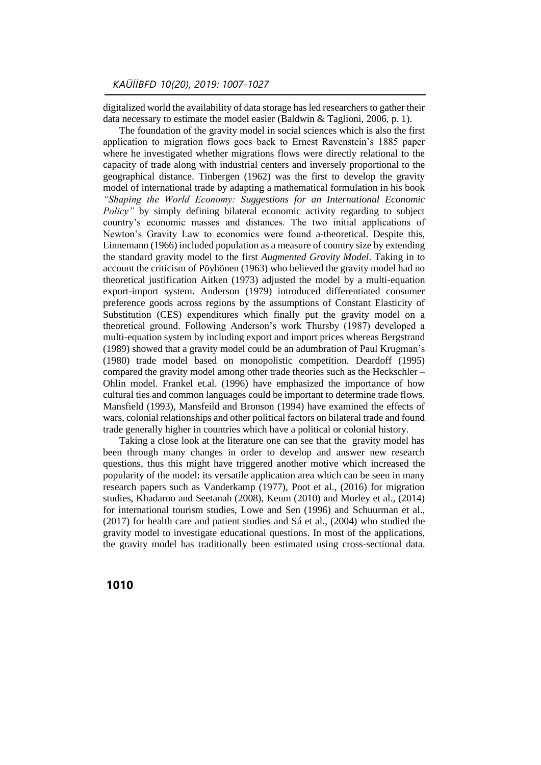digitalized world the availability of data storage has led researchers to gather their data necessary to estimate the model easier (Baldwin & Taglioni, 2006, p. 1).

The foundation of the gravity model in social sciences which is also the first application to migration flows goes back to Ernest Ravenstein's 1885 paper where he investigated whether migrations flows were directly relational to the capacity of trade along with industrial centers and inversely proportional to the geographical distance. Tinbergen (1962) was the first to develop the gravity model of international trade by adapting a mathematical formulation in his book *"Shaping the World Economy: Suggestions for an International Economic Policy*" by simply defining bilateral economic activity regarding to subject country's economic masses and distances. The two initial applications of Newton's Gravity Law to economics were found a-theoretical. Despite this, Linnemann (1966) included population as a measure of country size by extending the standard gravity model to the first *Augmented Gravity Model*. Taking in to account the criticism of Pöyhönen (1963) who believed the gravity model had no theoretical justification Aitken (1973) adjusted the model by a multi-equation export-import system. Anderson (1979) introduced differentiated consumer preference goods across regions by the assumptions of Constant Elasticity of Substitution (CES) expenditures which finally put the gravity model on a theoretical ground. Following Anderson's work Thursby (1987) developed a multi-equation system by including export and import prices whereas Bergstrand (1989) showed that a gravity model could be an adumbration of Paul Krugman's (1980) trade model based on monopolistic competition. Deardoff (1995) compared the gravity model among other trade theories such as the Heckschler – Ohlin model. Frankel et.al. (1996) have emphasized the importance of how cultural ties and common languages could be important to determine trade flows. Mansfield (1993), Mansfeild and Bronson (1994) have examined the effects of wars, colonial relationships and other political factors on bilateral trade and found trade generally higher in countries which have a political or colonial history.

Taking a close look at the literature one can see that the gravity model has been through many changes in order to develop and answer new research questions, thus this might have triggered another motive which increased the popularity of the model: its versatile application area which can be seen in many research papers such as Vanderkamp (1977), Poot et al., (2016) for migration studies, Khadaroo and Seetanah (2008), Keum (2010) and Morley et al., (2014) for international tourism studies, Lowe and Sen (1996) and Schuurman et al., (2017) for health care and patient studies and Sá et al., (2004) who studied the gravity model to investigate educational questions. In most of the applications, the gravity model has traditionally been estimated using cross-sectional data.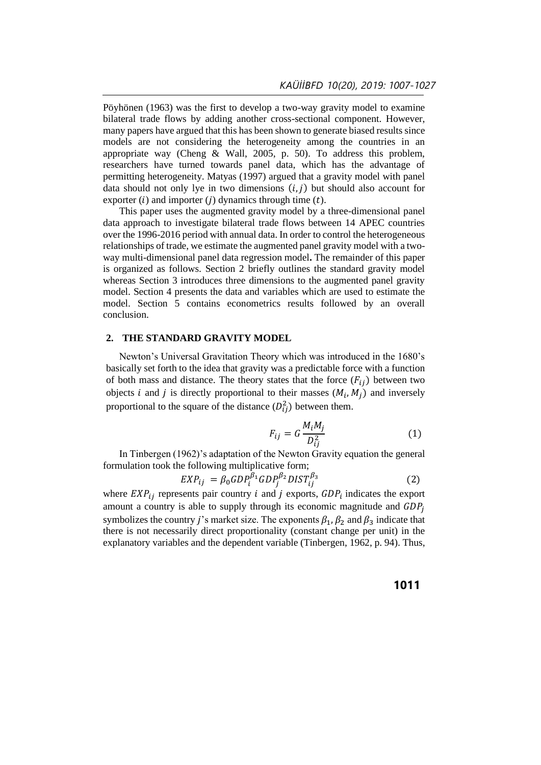Pöyhönen (1963) was the first to develop a two-way gravity model to examine bilateral trade flows by adding another cross-sectional component. However, many papers have argued that this has been shown to generate biased results since models are not considering the heterogeneity among the countries in an appropriate way (Cheng & Wall, 2005, p. 50). To address this problem, researchers have turned towards panel data, which has the advantage of permitting heterogeneity. Matyas (1997) argued that a gravity model with panel data should not only lye in two dimensions  $(i, j)$  but should also account for exporter  $(i)$  and importer  $(j)$  dynamics through time  $(t)$ .

This paper uses the augmented gravity model by a three-dimensional panel data approach to investigate bilateral trade flows between 14 APEC countries over the 1996-2016 period with annual data. In order to control the heterogeneous relationships of trade, we estimate the augmented panel gravity model with a twoway multi-dimensional panel data regression model**.** The remainder of this paper is organized as follows. Section 2 briefly outlines the standard gravity model whereas Section 3 introduces three dimensions to the augmented panel gravity model. Section 4 presents the data and variables which are used to estimate the model. Section 5 contains econometrics results followed by an overall conclusion.

#### **2. THE STANDARD GRAVITY MODEL**

Newton's Universal Gravitation Theory which was introduced in the 1680's basically set forth to the idea that gravity was a predictable force with a function of both mass and distance. The theory states that the force  $(F_{ij})$  between two objects *i* and *j* is directly proportional to their masses  $(M_i, M_j)$  and inversely proportional to the square of the distance  $(D_{ij}^2)$  between them.

$$
F_{ij} = G \frac{M_i M_j}{D_{ij}^2} \tag{1}
$$

In Tinbergen (1962)'s adaptation of the Newton Gravity equation the general formulation took the following multiplicative form;

$$
EXP_{ij} = \beta_0 GDP_i^{\beta_1} GDP_j^{\beta_2} DIST_{ij}^{\beta_3}
$$
 (2)

where  $EXP_{ij}$  represents pair country *i* and *j* exports,  $GDP_i$  indicates the export amount a country is able to supply through its economic magnitude and  $GDP<sub>i</sub>$ symbolizes the country j's market size. The exponents  $\beta_1$ ,  $\beta_2$  and  $\beta_3$  indicate that there is not necessarily direct proportionality (constant change per unit) in the explanatory variables and the dependent variable (Tinbergen, 1962, p. 94). Thus,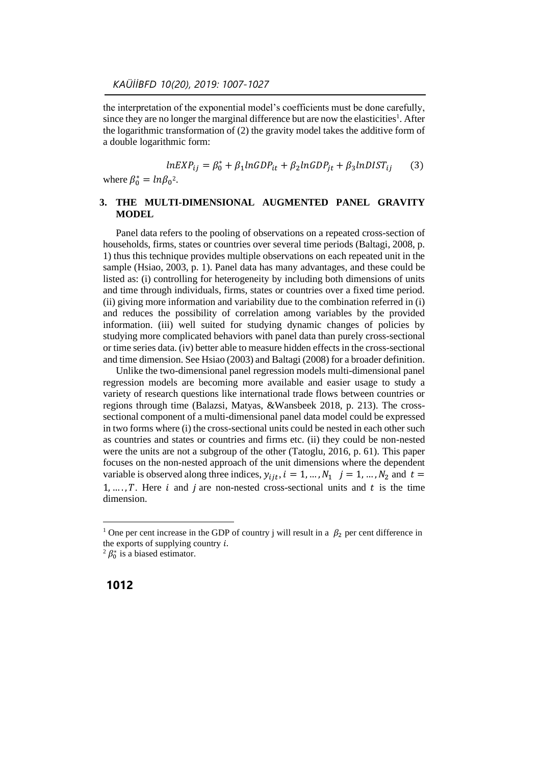the interpretation of the exponential model's coefficients must be done carefully, since they are no longer the marginal difference but are now the elasticities<sup>1</sup>. After the logarithmic transformation of (2) the gravity model takes the additive form of a double logarithmic form:

$$
lnEXP_{ij} = \beta_0^* + \beta_1 lnGDP_{it} + \beta_2 lnGDP_{jt} + \beta_3 lnDIST_{ij}
$$
 (3)

where  $\beta_0^* = ln \beta_0^2$ .

#### **3. THE MULTI-DIMENSIONAL AUGMENTED PANEL GRAVITY MODEL**

Panel data refers to the pooling of observations on a repeated cross-section of households, firms, states or countries over several time periods (Baltagi, 2008, p. 1) thus this technique provides multiple observations on each repeated unit in the sample (Hsiao, 2003, p. 1). Panel data has many advantages, and these could be listed as: (i) controlling for heterogeneity by including both dimensions of units and time through individuals, firms, states or countries over a fixed time period. (ii) giving more information and variability due to the combination referred in (i) and reduces the possibility of correlation among variables by the provided information. (iii) well suited for studying dynamic changes of policies by studying more complicated behaviors with panel data than purely cross-sectional or time series data. (iv) better able to measure hidden effects in the cross-sectional and time dimension. See Hsiao (2003) and Baltagi (2008) for a broader definition.

Unlike the two-dimensional panel regression models multi-dimensional panel regression models are becoming more available and easier usage to study a variety of research questions like international trade flows between countries or regions through time (Balazsi, Matyas, &Wansbeek 2018, p. 213). The crosssectional component of a multi-dimensional panel data model could be expressed in two forms where (i) the cross-sectional units could be nested in each other such as countries and states or countries and firms etc. (ii) they could be non-nested were the units are not a subgroup of the other (Tatoglu, 2016, p. 61). This paper focuses on the non-nested approach of the unit dimensions where the dependent variable is observed along three indices,  $y_{ijt}$ ,  $i = 1, ..., N_1$   $j = 1, ..., N_2$  and  $t =$  $1, \ldots, T$ . Here *i* and *j* are non-nested cross-sectional units and *t* is the time dimension.

<sup>&</sup>lt;sup>1</sup> One per cent increase in the GDP of country j will result in a  $\beta_2$  per cent difference in the exports of supplying country  $i$ .

 ${}^2\beta_0^*$  is a biased estimator.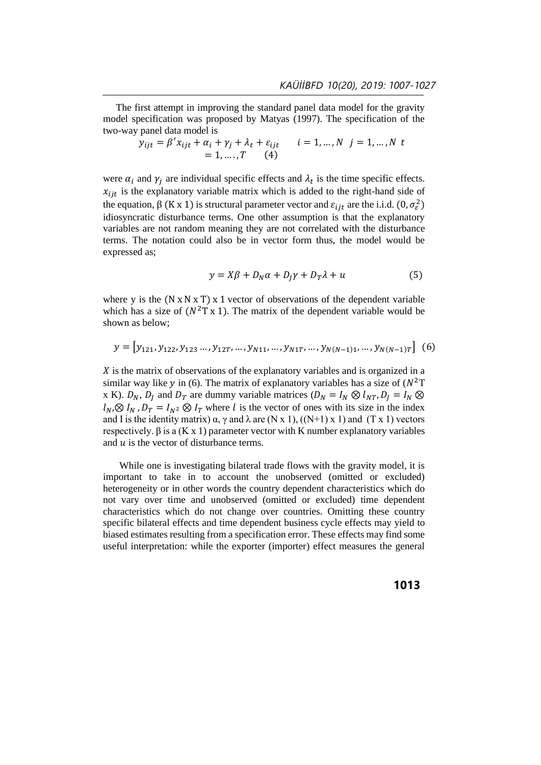The first attempt in improving the standard panel data model for the gravity model specification was proposed by Matyas (1997). The specification of the two-way panel data model is

$$
y_{ijt} = \beta' x_{ijt} + \alpha_i + \gamma_j + \lambda_t + \varepsilon_{ijt} \qquad i = 1, ..., N \quad j = 1, ..., N \quad t = 1, ..., T \qquad (4)
$$

were  $\alpha_i$  and  $\gamma_j$  are individual specific effects and  $\lambda_t$  is the time specific effects.  $x_{ijt}$  is the explanatory variable matrix which is added to the right-hand side of the equation, β (K x 1) is structural parameter vector and  $\varepsilon_{ijt}$  are the i.i.d.  $(0, \sigma_{\varepsilon}^2)$ idiosyncratic disturbance terms. One other assumption is that the explanatory variables are not random meaning they are not correlated with the disturbance terms. The notation could also be in vector form thus, the model would be expressed as;

$$
y = X\beta + D_N\alpha + D_J\gamma + D_T\lambda + u \tag{5}
$$

where y is the  $(N \times N \times T) \times 1$  vector of observations of the dependent variable which has a size of  $(N^2 T x 1)$ . The matrix of the dependent variable would be shown as below;

$$
y = [y_{121}, y_{122}, y_{123} \dots, y_{12T}, \dots, y_{N11}, \dots, y_{N1T}, \dots, y_{N(N-1)1}, \dots, y_{N(N-1)T}] \tag{6}
$$

 $\chi$  is the matrix of observations of the explanatory variables and is organized in a similar way like y in (6). The matrix of explanatory variables has a size of  $(N^2T)$ x K).  $D_N$ ,  $D_I$  and  $D_T$  are dummy variable matrices ( $D_N = I_N \otimes I_{NT}$ ,  $D_I = I_N \otimes I_{NT}$  $l_N$ ,⊗  $l_N$ ,  $D_T = l_{N^2} \otimes l_T$  where l is the vector of ones with its size in the index and I is the identity matrix)  $\alpha$ ,  $\gamma$  and  $\lambda$  are (N x 1), ((N+1) x 1) and (T x 1) vectors respectively. β is a  $(K \times 1)$  parameter vector with K number explanatory variables and  $u$  is the vector of disturbance terms.

While one is investigating bilateral trade flows with the gravity model, it is important to take in to account the unobserved (omitted or excluded) heterogeneity or in other words the country dependent characteristics which do not vary over time and unobserved (omitted or excluded) time dependent characteristics which do not change over countries. Omitting these country specific bilateral effects and time dependent business cycle effects may yield to biased estimates resulting from a specification error. These effects may find some useful interpretation: while the exporter (importer) effect measures the general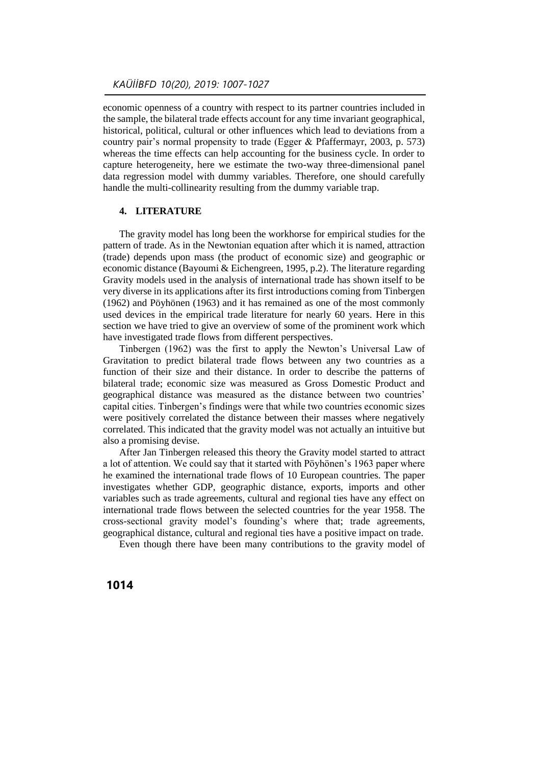economic openness of a country with respect to its partner countries included in the sample, the bilateral trade effects account for any time invariant geographical, historical, political, cultural or other influences which lead to deviations from a country pair's normal propensity to trade (Egger & Pfaffermayr, 2003, p. 573) whereas the time effects can help accounting for the business cycle. In order to capture heterogeneity, here we estimate the two-way three-dimensional panel data regression model with dummy variables. Therefore, one should carefully handle the multi-collinearity resulting from the dummy variable trap.

#### **4. LITERATURE**

The gravity model has long been the workhorse for empirical studies for the pattern of trade. As in the Newtonian equation after which it is named, attraction (trade) depends upon mass (the product of economic size) and geographic or economic distance (Bayoumi & Eichengreen, 1995, p.2). The literature regarding Gravity models used in the analysis of international trade has shown itself to be very diverse in its applications after its first introductions coming from Tinbergen (1962) and Pöyhönen (1963) and it has remained as one of the most commonly used devices in the empirical trade literature for nearly 60 years. Here in this section we have tried to give an overview of some of the prominent work which have investigated trade flows from different perspectives.

Tinbergen (1962) was the first to apply the Newton's Universal Law of Gravitation to predict bilateral trade flows between any two countries as a function of their size and their distance. In order to describe the patterns of bilateral trade; economic size was measured as Gross Domestic Product and geographical distance was measured as the distance between two countries' capital cities. Tinbergen's findings were that while two countries economic sizes were positively correlated the distance between their masses where negatively correlated. This indicated that the gravity model was not actually an intuitive but also a promising devise.

After Jan Tinbergen released this theory the Gravity model started to attract a lot of attention. We could say that it started with Pöyhönen's 1963 paper where he examined the international trade flows of 10 European countries. The paper investigates whether GDP, geographic distance, exports, imports and other variables such as trade agreements, cultural and regional ties have any effect on international trade flows between the selected countries for the year 1958. The cross-sectional gravity model's founding's where that; trade agreements, geographical distance, cultural and regional ties have a positive impact on trade.

Even though there have been many contributions to the gravity model of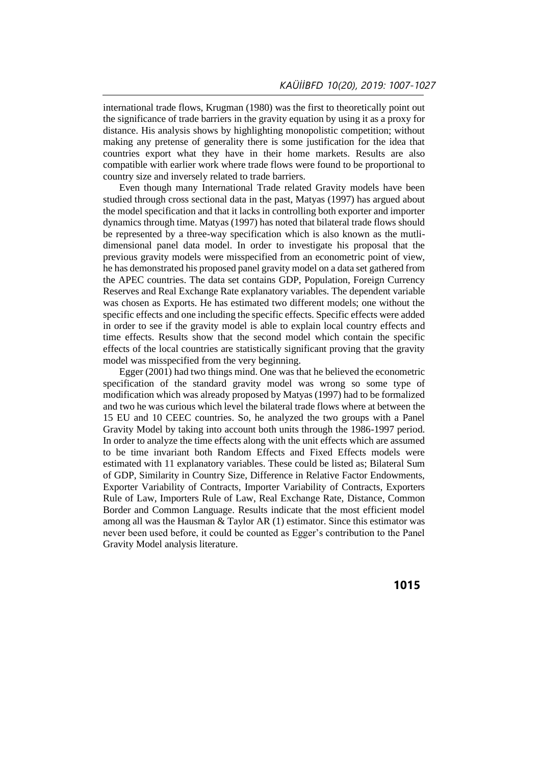international trade flows, Krugman (1980) was the first to theoretically point out the significance of trade barriers in the gravity equation by using it as a proxy for distance. His analysis shows by highlighting monopolistic competition; without making any pretense of generality there is some justification for the idea that countries export what they have in their home markets. Results are also compatible with earlier work where trade flows were found to be proportional to country size and inversely related to trade barriers.

Even though many International Trade related Gravity models have been studied through cross sectional data in the past, Matyas (1997) has argued about the model specification and that it lacks in controlling both exporter and importer dynamics through time. Matyas (1997) has noted that bilateral trade flows should be represented by a three-way specification which is also known as the mutlidimensional panel data model. In order to investigate his proposal that the previous gravity models were misspecified from an econometric point of view, he has demonstrated his proposed panel gravity model on a data set gathered from the APEC countries. The data set contains GDP, Population, Foreign Currency Reserves and Real Exchange Rate explanatory variables. The dependent variable was chosen as Exports. He has estimated two different models; one without the specific effects and one including the specific effects. Specific effects were added in order to see if the gravity model is able to explain local country effects and time effects. Results show that the second model which contain the specific effects of the local countries are statistically significant proving that the gravity model was misspecified from the very beginning.

Egger (2001) had two things mind. One was that he believed the econometric specification of the standard gravity model was wrong so some type of modification which was already proposed by Matyas (1997) had to be formalized and two he was curious which level the bilateral trade flows where at between the 15 EU and 10 CEEC countries. So, he analyzed the two groups with a Panel Gravity Model by taking into account both units through the 1986-1997 period. In order to analyze the time effects along with the unit effects which are assumed to be time invariant both Random Effects and Fixed Effects models were estimated with 11 explanatory variables. These could be listed as; Bilateral Sum of GDP, Similarity in Country Size, Difference in Relative Factor Endowments, Exporter Variability of Contracts, Importer Variability of Contracts, Exporters Rule of Law, Importers Rule of Law, Real Exchange Rate, Distance, Common Border and Common Language. Results indicate that the most efficient model among all was the Hausman & Taylor AR (1) estimator. Since this estimator was never been used before, it could be counted as Egger's contribution to the Panel Gravity Model analysis literature.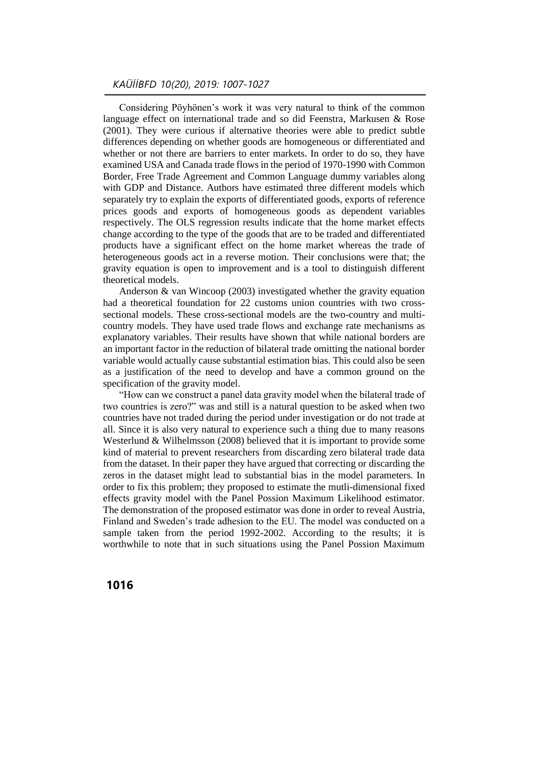#### *KAÜİİBFD 10(20), 2019: 1007-1027*

Considering Pöyhönen's work it was very natural to think of the common language effect on international trade and so did Feenstra, Markusen & Rose (2001). They were curious if alternative theories were able to predict subtle differences depending on whether goods are homogeneous or differentiated and whether or not there are barriers to enter markets. In order to do so, they have examined USA and Canada trade flows in the period of 1970-1990 with Common Border, Free Trade Agreement and Common Language dummy variables along with GDP and Distance. Authors have estimated three different models which separately try to explain the exports of differentiated goods, exports of reference prices goods and exports of homogeneous goods as dependent variables respectively. The OLS regression results indicate that the home market effects change according to the type of the goods that are to be traded and differentiated products have a significant effect on the home market whereas the trade of heterogeneous goods act in a reverse motion. Their conclusions were that; the gravity equation is open to improvement and is a tool to distinguish different theoretical models.

Anderson & van Wincoop (2003) investigated whether the gravity equation had a theoretical foundation for 22 customs union countries with two crosssectional models. These cross-sectional models are the two-country and multicountry models. They have used trade flows and exchange rate mechanisms as explanatory variables. Their results have shown that while national borders are an important factor in the reduction of bilateral trade omitting the national border variable would actually cause substantial estimation bias. This could also be seen as a justification of the need to develop and have a common ground on the specification of the gravity model.

"How can we construct a panel data gravity model when the bilateral trade of two countries is zero?" was and still is a natural question to be asked when two countries have not traded during the period under investigation or do not trade at all. Since it is also very natural to experience such a thing due to many reasons Westerlund & Wilhelmsson (2008) believed that it is important to provide some kind of material to prevent researchers from discarding zero bilateral trade data from the dataset. In their paper they have argued that correcting or discarding the zeros in the dataset might lead to substantial bias in the model parameters. In order to fix this problem; they proposed to estimate the mutli-dimensional fixed effects gravity model with the Panel Possion Maximum Likelihood estimator. The demonstration of the proposed estimator was done in order to reveal Austria, Finland and Sweden's trade adhesion to the EU. The model was conducted on a sample taken from the period 1992-2002. According to the results; it is worthwhile to note that in such situations using the Panel Possion Maximum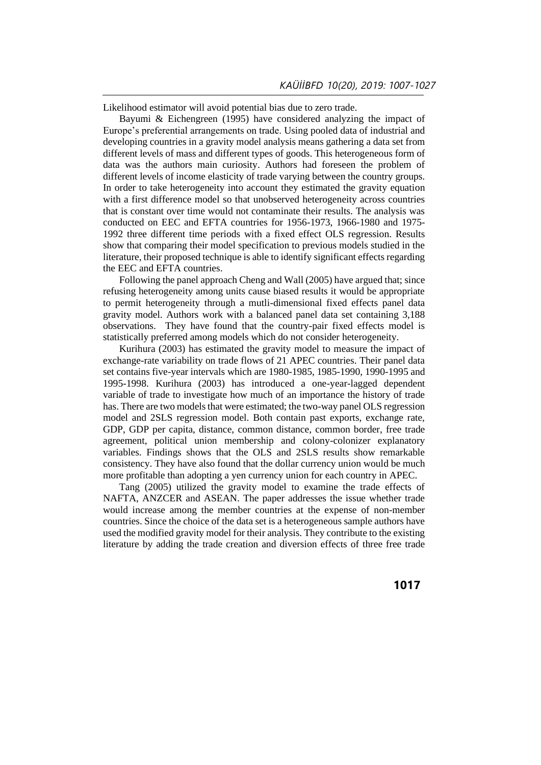Likelihood estimator will avoid potential bias due to zero trade.

Bayumi & Eichengreen (1995) have considered analyzing the impact of Europe's preferential arrangements on trade. Using pooled data of industrial and developing countries in a gravity model analysis means gathering a data set from different levels of mass and different types of goods. This heterogeneous form of data was the authors main curiosity. Authors had foreseen the problem of different levels of income elasticity of trade varying between the country groups. In order to take heterogeneity into account they estimated the gravity equation with a first difference model so that unobserved heterogeneity across countries that is constant over time would not contaminate their results. The analysis was conducted on EEC and EFTA countries for 1956-1973, 1966-1980 and 1975- 1992 three different time periods with a fixed effect OLS regression. Results show that comparing their model specification to previous models studied in the literature, their proposed technique is able to identify significant effects regarding the EEC and EFTA countries.

Following the panel approach Cheng and Wall (2005) have argued that; since refusing heterogeneity among units cause biased results it would be appropriate to permit heterogeneity through a mutli-dimensional fixed effects panel data gravity model. Authors work with a balanced panel data set containing 3,188 observations. They have found that the country-pair fixed effects model is statistically preferred among models which do not consider heterogeneity.

Kurihura (2003) has estimated the gravity model to measure the impact of exchange-rate variability on trade flows of 21 APEC countries. Their panel data set contains five-year intervals which are 1980-1985, 1985-1990, 1990-1995 and 1995-1998. Kurihura (2003) has introduced a one-year-lagged dependent variable of trade to investigate how much of an importance the history of trade has. There are two models that were estimated; the two-way panel OLS regression model and 2SLS regression model. Both contain past exports, exchange rate, GDP, GDP per capita, distance, common distance, common border, free trade agreement, political union membership and colony-colonizer explanatory variables. Findings shows that the OLS and 2SLS results show remarkable consistency. They have also found that the dollar currency union would be much more profitable than adopting a yen currency union for each country in APEC.

Tang (2005) utilized the gravity model to examine the trade effects of NAFTA, ANZCER and ASEAN. The paper addresses the issue whether trade would increase among the member countries at the expense of non-member countries. Since the choice of the data set is a heterogeneous sample authors have used the modified gravity model for their analysis. They contribute to the existing literature by adding the trade creation and diversion effects of three free trade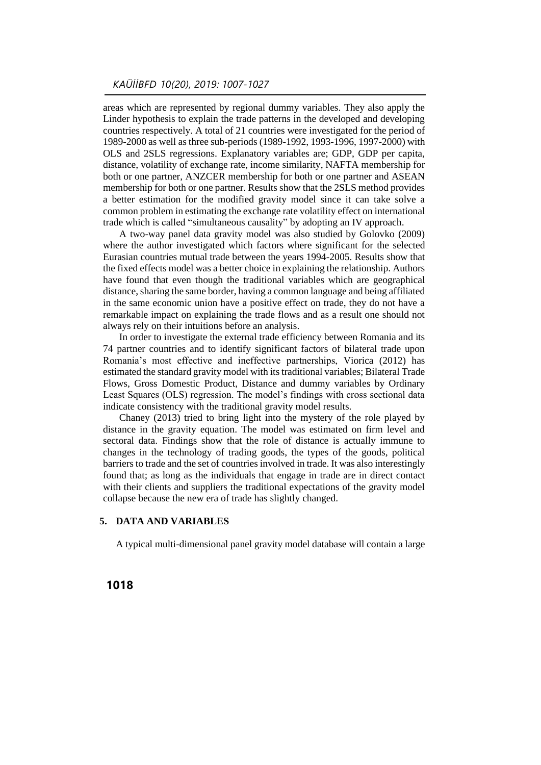areas which are represented by regional dummy variables. They also apply the Linder hypothesis to explain the trade patterns in the developed and developing countries respectively. A total of 21 countries were investigated for the period of 1989-2000 as well as three sub-periods (1989-1992, 1993-1996, 1997-2000) with OLS and 2SLS regressions. Explanatory variables are; GDP, GDP per capita, distance, volatility of exchange rate, income similarity, NAFTA membership for both or one partner, ANZCER membership for both or one partner and ASEAN membership for both or one partner. Results show that the 2SLS method provides a better estimation for the modified gravity model since it can take solve a common problem in estimating the exchange rate volatility effect on international trade which is called "simultaneous causality" by adopting an IV approach.

A two-way panel data gravity model was also studied by Golovko (2009) where the author investigated which factors where significant for the selected Eurasian countries mutual trade between the years 1994-2005. Results show that the fixed effects model was a better choice in explaining the relationship. Authors have found that even though the traditional variables which are geographical distance, sharing the same border, having a common language and being affiliated in the same economic union have a positive effect on trade, they do not have a remarkable impact on explaining the trade flows and as a result one should not always rely on their intuitions before an analysis.

In order to investigate the external trade efficiency between Romania and its 74 partner countries and to identify significant factors of bilateral trade upon Romania's most effective and ineffective partnerships, Viorica (2012) has estimated the standard gravity model with its traditional variables; Bilateral Trade Flows, Gross Domestic Product, Distance and dummy variables by Ordinary Least Squares (OLS) regression. The model's findings with cross sectional data indicate consistency with the traditional gravity model results.

Chaney (2013) tried to bring light into the mystery of the role played by distance in the gravity equation. The model was estimated on firm level and sectoral data. Findings show that the role of distance is actually immune to changes in the technology of trading goods, the types of the goods, political barriers to trade and the set of countries involved in trade. It was also interestingly found that; as long as the individuals that engage in trade are in direct contact with their clients and suppliers the traditional expectations of the gravity model collapse because the new era of trade has slightly changed.

# **5. DATA AND VARIABLES**

A typical multi-dimensional panel gravity model database will contain a large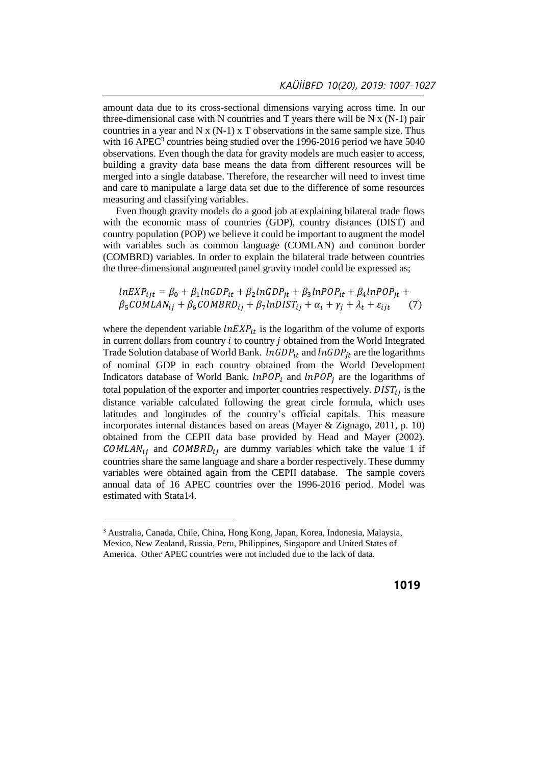amount data due to its cross-sectional dimensions varying across time. In our three-dimensional case with N countries and T years there will be N  $\mathbf{x}$  (N-1) pair countries in a year and N x  $(N-1)$  x T observations in the same sample size. Thus with 16 APEC<sup>3</sup> countries being studied over the 1996-2016 period we have 5040 observations. Even though the data for gravity models are much easier to access, building a gravity data base means the data from different resources will be merged into a single database. Therefore, the researcher will need to invest time and care to manipulate a large data set due to the difference of some resources measuring and classifying variables.

Even though gravity models do a good job at explaining bilateral trade flows with the economic mass of countries (GDP), country distances (DIST) and country population (POP) we believe it could be important to augment the model with variables such as common language (COMLAN) and common border (COMBRD) variables. In order to explain the bilateral trade between countries the three-dimensional augmented panel gravity model could be expressed as;

$$
lnEXP_{ijt} = \beta_0 + \beta_1 lnGDP_{it} + \beta_2 lnGDP_{jt} + \beta_3 lnPOP_{it} + \beta_4 lnPOP_{jt} + \beta_5 COMLAND_{ij} + \beta_7 lnDIST_{ij} + \alpha_i + \gamma_j + \lambda_t + \varepsilon_{ijt}
$$
 (7)

where the dependent variable  $ln EXP_{it}$  is the logarithm of the volume of exports in current dollars from country  $i$  to country  $j$  obtained from the World Integrated Trade Solution database of World Bank.  $ln GDP_{it}$  and  $ln GDP_{it}$  are the logarithms of nominal GDP in each country obtained from the World Development Indicators database of World Bank.  $lnPOP_i$  and  $lnPOP_j$  are the logarithms of total population of the exporter and importer countries respectively.  $DIST_{ij}$  is the distance variable calculated following the great circle formula, which uses latitudes and longitudes of the country's official capitals. This measure incorporates internal distances based on areas (Mayer & Zignago, 2011, p. 10) obtained from the CEPII data base provided by Head and Mayer (2002).  $COMLAN_{ij}$  and  $COMBRD_{ij}$  are dummy variables which take the value 1 if countries share the same language and share a border respectively. These dummy variables were obtained again from the CEPII database. The sample covers annual data of 16 APEC countries over the 1996-2016 period. Model was estimated with Stata14.

<sup>3</sup> Australia, Canada, Chile, China, Hong Kong, Japan, Korea, Indonesia, Malaysia, Mexico, New Zealand, Russia, Peru, Philippines, Singapore and United States of America. Other APEC countries were not included due to the lack of data.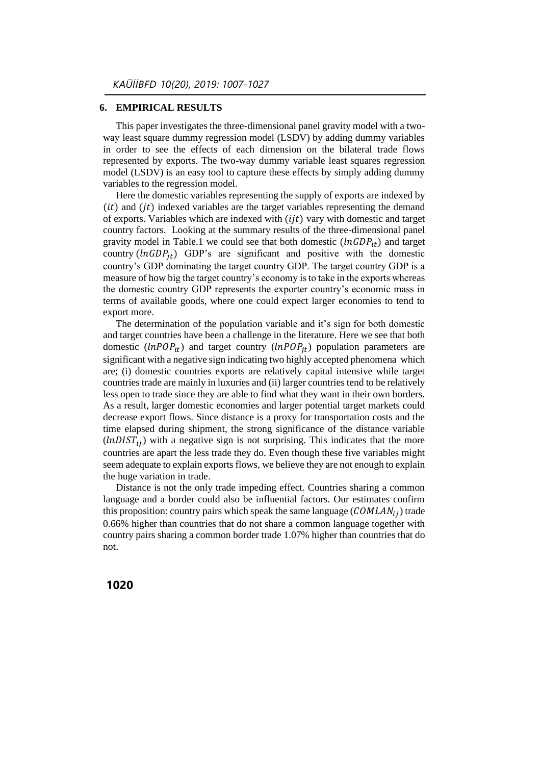## **6. EMPIRICAL RESULTS**

This paper investigates the three-dimensional panel gravity model with a twoway least square dummy regression model (LSDV) by adding dummy variables in order to see the effects of each dimension on the bilateral trade flows represented by exports. The two-way dummy variable least squares regression model (LSDV) is an easy tool to capture these effects by simply adding dummy variables to the regression model.

Here the domestic variables representing the supply of exports are indexed by  $(it)$  and  $(jt)$  indexed variables are the target variables representing the demand of exports. Variables which are indexed with  $(ijt)$  vary with domestic and target country factors. Looking at the summary results of the three-dimensional panel gravity model in Table.1 we could see that both domestic  $(lnGDP_{it})$  and target country  $(lnGDP_{it})$  GDP's are significant and positive with the domestic country's GDP dominating the target country GDP. The target country GDP is a measure of how big the target country's economy is to take in the exports whereas the domestic country GDP represents the exporter country's economic mass in terms of available goods, where one could expect larger economies to tend to export more.

The determination of the population variable and it's sign for both domestic and target countries have been a challenge in the literature. Here we see that both domestic ( $ln POP_{it}$ ) and target country ( $ln POP_{it}$ ) population parameters are significant with a negative sign indicating two highly accepted phenomena which are; (i) domestic countries exports are relatively capital intensive while target countries trade are mainly in luxuries and (ii) larger countries tend to be relatively less open to trade since they are able to find what they want in their own borders. As a result, larger domestic economies and larger potential target markets could decrease export flows. Since distance is a proxy for transportation costs and the time elapsed during shipment, the strong significance of the distance variable  $(lnDIST_{ii})$  with a negative sign is not surprising. This indicates that the more countries are apart the less trade they do. Even though these five variables might seem adequate to explain exports flows, we believe they are not enough to explain the huge variation in trade.

Distance is not the only trade impeding effect. Countries sharing a common language and a border could also be influential factors. Our estimates confirm this proposition: country pairs which speak the same language ( $\textit{COMLAN}_{ij}$ ) trade 0.66% higher than countries that do not share a common language together with country pairs sharing a common border trade 1.07% higher than countries that do not.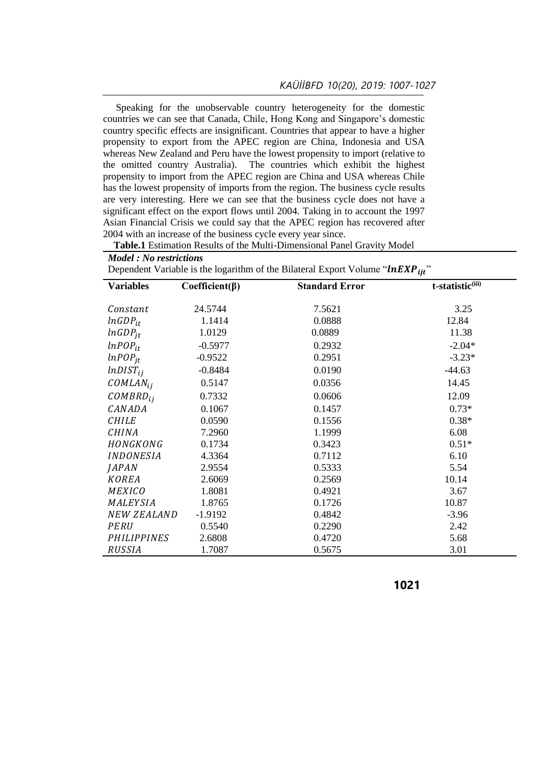Speaking for the unobservable country heterogeneity for the domestic countries we can see that Canada, Chile, Hong Kong and Singapore's domestic country specific effects are insignificant. Countries that appear to have a higher propensity to export from the APEC region are China, Indonesia and USA whereas New Zealand and Peru have the lowest propensity to import (relative to the omitted country Australia). The countries which exhibit the highest propensity to import from the APEC region are China and USA whereas Chile has the lowest propensity of imports from the region. The business cycle results are very interesting. Here we can see that the business cycle does not have a significant effect on the export flows until 2004. Taking in to account the 1997 Asian Financial Crisis we could say that the APEC region has recovered after 2004 with an increase of the business cycle every year since.

| <b>Table.1</b> Estimation Results of the Multi-Dimensional Panel Gravity Model |  |
|--------------------------------------------------------------------------------|--|
|--------------------------------------------------------------------------------|--|

*Model : No restrictions*

| Dependent Variable is the logarithm of the Bilateral Export Volume " $lnEXP_{it}$ " |                      |                       |                  |  |  |  |
|-------------------------------------------------------------------------------------|----------------------|-----------------------|------------------|--|--|--|
| <b>Variables</b>                                                                    | $Coefficient(\beta)$ | <b>Standard Error</b> | t-statistic(iii) |  |  |  |
| Constant                                                                            | 24.5744              | 7.5621                | 3.25             |  |  |  |
| $ln GDP_{it}$                                                                       | 1.1414               | 0.0888                | 12.84            |  |  |  |
| $ln GDP_{it}$                                                                       | 1.0129               | 0.0889                | 11.38            |  |  |  |
| $lnPOP_{it}$                                                                        | $-0.5977$            | 0.2932                | $-2.04*$         |  |  |  |
| $lnPOP_{it}$                                                                        | $-0.9522$            | 0.2951                | $-3.23*$         |  |  |  |
| $lnDIST_{ij}$                                                                       | $-0.8484$            | 0.0190                | $-44.63$         |  |  |  |
| $COMLAN_{ii}$                                                                       | 0.5147               | 0.0356                | 14.45            |  |  |  |
| $COMBRD_{ij}$                                                                       | 0.7332               | 0.0606                | 12.09            |  |  |  |
| CANADA                                                                              | 0.1067               | 0.1457                | $0.73*$          |  |  |  |
| <b>CHILE</b>                                                                        | 0.0590               | 0.1556                | $0.38*$          |  |  |  |
| <b>CHINA</b>                                                                        | 7.2960               | 1.1999                | 6.08             |  |  |  |
| HONGKONG                                                                            | 0.1734               | 0.3423                | $0.51*$          |  |  |  |
| <b>INDONESIA</b>                                                                    | 4.3364               | 0.7112                | 6.10             |  |  |  |
| <b>JAPAN</b>                                                                        | 2.9554               | 0.5333                | 5.54             |  |  |  |
| <b>KOREA</b>                                                                        | 2.6069               | 0.2569                | 10.14            |  |  |  |
| <b>MEXICO</b>                                                                       | 1.8081               | 0.4921                | 3.67             |  |  |  |
| MALEYSIA                                                                            | 1.8765               | 0.1726                | 10.87            |  |  |  |
| <b>NEW ZEALAND</b>                                                                  | $-1.9192$            | 0.4842                | $-3.96$          |  |  |  |
| <b>PERU</b>                                                                         | 0.5540               | 0.2290                | 2.42             |  |  |  |
| <b>PHILIPPINES</b>                                                                  | 2.6808               | 0.4720                | 5.68             |  |  |  |
| RUSSIA                                                                              | 1.7087               | 0.5675                | 3.01             |  |  |  |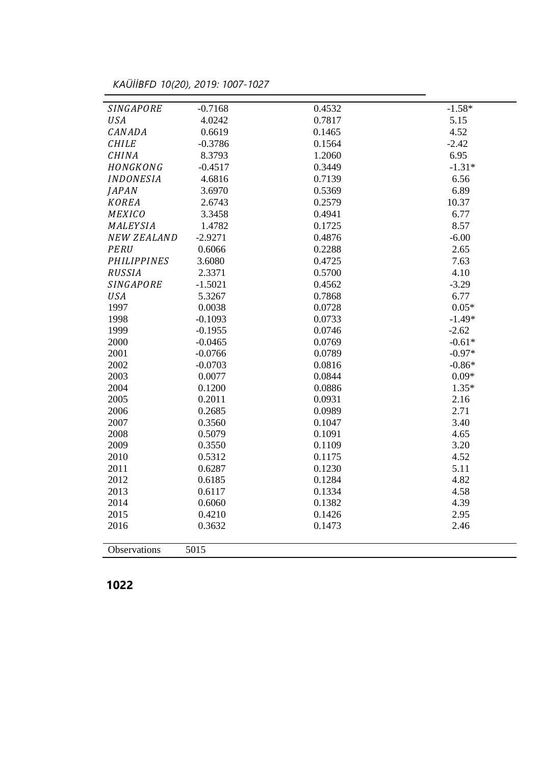*KAÜİİBFD 10(20), 2019: 1007-1027*

| <b>SINGAPORE</b>   | $-0.7168$ | 0.4532 | $-1.58*$ |
|--------------------|-----------|--------|----------|
| <b>USA</b>         | 4.0242    | 0.7817 | 5.15     |
| CANADA             | 0.6619    | 0.1465 | 4.52     |
| <b>CHILE</b>       | $-0.3786$ | 0.1564 | $-2.42$  |
| <b>CHINA</b>       | 8.3793    | 1.2060 | 6.95     |
| HONGKONG           | $-0.4517$ | 0.3449 | $-1.31*$ |
| <b>INDONESIA</b>   | 4.6816    | 0.7139 | 6.56     |
| <b>JAPAN</b>       | 3.6970    | 0.5369 | 6.89     |
| <b>KOREA</b>       | 2.6743    | 0.2579 | 10.37    |
| <b>MEXICO</b>      | 3.3458    | 0.4941 | 6.77     |
| MALEYSIA           | 1.4782    | 0.1725 | 8.57     |
| <b>NEW ZEALAND</b> | $-2.9271$ | 0.4876 | $-6.00$  |
| PERU               | 0.6066    | 0.2288 | 2.65     |
| <b>PHILIPPINES</b> | 3.6080    | 0.4725 | 7.63     |
| <b>RUSSIA</b>      | 2.3371    | 0.5700 | 4.10     |
| <b>SINGAPORE</b>   | $-1.5021$ | 0.4562 | $-3.29$  |
| <b>USA</b>         | 5.3267    | 0.7868 | 6.77     |
| 1997               | 0.0038    | 0.0728 | $0.05*$  |
| 1998               | $-0.1093$ | 0.0733 | $-1.49*$ |
| 1999               | $-0.1955$ | 0.0746 | $-2.62$  |
| 2000               | $-0.0465$ | 0.0769 | $-0.61*$ |
| 2001               | $-0.0766$ | 0.0789 | $-0.97*$ |
| 2002               | $-0.0703$ | 0.0816 | $-0.86*$ |
| 2003               | 0.0077    | 0.0844 | $0.09*$  |
| 2004               | 0.1200    | 0.0886 | $1.35*$  |
| 2005               | 0.2011    | 0.0931 | 2.16     |
| 2006               | 0.2685    | 0.0989 | 2.71     |
| 2007               | 0.3560    | 0.1047 | 3.40     |
| 2008               | 0.5079    | 0.1091 | 4.65     |
| 2009               | 0.3550    | 0.1109 | 3.20     |
| 2010               | 0.5312    | 0.1175 | 4.52     |
| 2011               | 0.6287    | 0.1230 | 5.11     |
| 2012               | 0.6185    | 0.1284 | 4.82     |
| 2013               | 0.6117    | 0.1334 | 4.58     |
| 2014               | 0.6060    | 0.1382 | 4.39     |
| 2015               | 0.4210    | 0.1426 | 2.95     |
| 2016               | 0.3632    | 0.1473 | 2.46     |
|                    |           |        |          |
| Observations       | 5015      |        |          |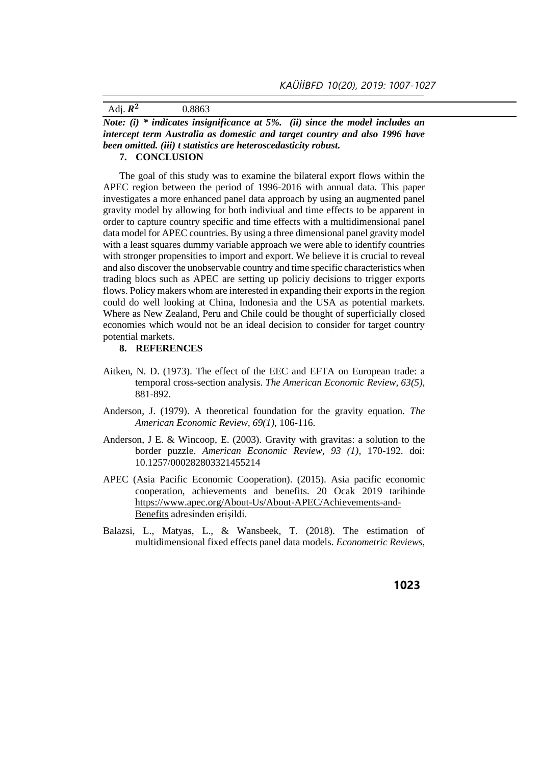| Adj. $\mathbb{R}^2$ | 0.8863 |  |  |
|---------------------|--------|--|--|
|---------------------|--------|--|--|

*Note: (i) \* indicates insignificance at 5%. (ii) since the model includes an intercept term Australia as domestic and target country and also 1996 have been omitted. (iii) t statistics are heteroscedasticity robust.* 

# **7. CONCLUSION**

The goal of this study was to examine the bilateral export flows within the APEC region between the period of 1996-2016 with annual data. This paper investigates a more enhanced panel data approach by using an augmented panel gravity model by allowing for both indiviual and time effects to be apparent in order to capture country specific and time effects with a multidimensional panel data model for APEC countries. By using a three dimensional panel gravity model with a least squares dummy variable approach we were able to identify countries with stronger propensities to import and export. We believe it is crucial to reveal and also discover the unobservable country and time specific characteristics when trading blocs such as APEC are setting up policiy decisions to trigger exports flows. Policy makers whom are interested in expanding their exports in the region could do well looking at China, Indonesia and the USA as potential markets. Where as New Zealand, Peru and Chile could be thought of superficially closed economies which would not be an ideal decision to consider for target country potential markets.

#### **8. REFERENCES**

- Aitken, N. D. (1973). The effect of the EEC and EFTA on European trade: a temporal cross-section analysis. *The American Economic Review*, *63(5),* 881-892.
- Anderson, J. (1979). A theoretical foundation for the gravity equation. *The American Economic Review, 69(1),* 106-116.
- Anderson, J E. & Wincoop, E. (2003). Gravity with gravitas: a solution to the border puzzle. *American Economic Review, 93 (1),* 170-192. doi: 10.1257/000282803321455214
- APEC (Asia Pacific Economic Cooperation). (2015). Asia pacific economic cooperation, achievements and benefits. 20 Ocak 2019 tarihinde [https://www.apec.org/About-Us/About-APEC/Achievements-and-](https://www.apec.org/About-Us/About-APEC/Achievements-and-Benefits)[Benefits](https://www.apec.org/About-Us/About-APEC/Achievements-and-Benefits) adresinden erişildi.
- Balazsi, L., Matyas, L., & Wansbeek, T. (2018). The estimation of multidimensional fixed effects panel data models. *Econometric Reviews*,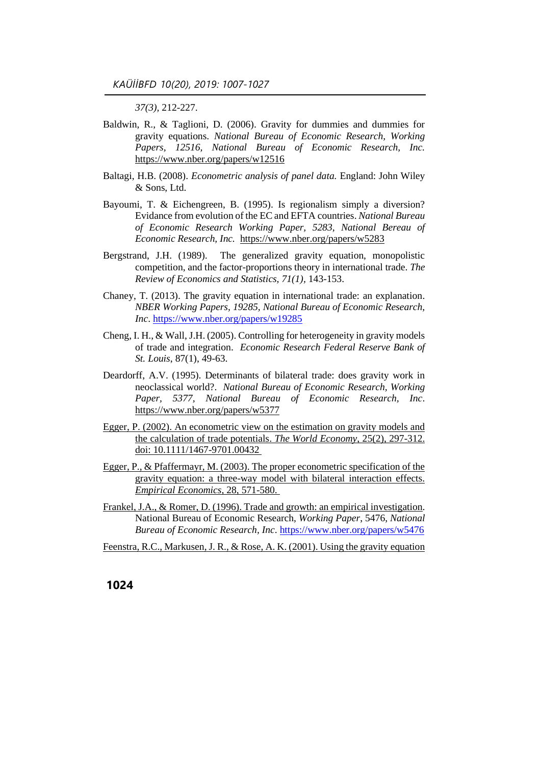*37(3),* 212-227.

- Baldwin, R., & Taglioni, D. (2006). Gravity for dummies and dummies for gravity equations. *National Bureau of Economic Research, Working Papers, 12516, National Bureau of Economic Research, Inc.* <https://www.nber.org/papers/w12516>
- Baltagi, H.B. (2008). *Econometric analysis of panel data.* England: John Wiley & Sons, Ltd.
- Bayoumi, T. & Eichengreen, B. (1995). Is regionalism simply a diversion? Evidance from evolution of the EC and EFTA countries. *National Bureau of Economic Research Working Paper, 5283, National Bereau of Economic Research, Inc.* <https://www.nber.org/papers/w5283>
- Bergstrand, J.H. (1989). The generalized gravity equation, monopolistic competition, and the factor-proportions theory in international trade. *The Review of Economics and Statistics, 71(1),* 143-153.
- Chaney, T. (2013). The gravity equation in international trade: an explanation. *NBER Working Papers, 19285, National Bureau of Economic Research, Inc*.<https://www.nber.org/papers/w19285>
- Cheng, I. H., & Wall, J.H. (2005). Controlling for heterogeneity in gravity models of trade and integration. *Economic Research Federal Reserve Bank of St. Louis*, 87(1), 49-63.
- Deardorff, A.V. (1995). Determinants of bilateral trade: does gravity work in neoclassical world?. *National Bureau of Economic Research, Working Paper, 5377, National Bureau of Economic Research, Inc*. <https://www.nber.org/papers/w5377>
- Egger, P. (2002). An econometric view on the estimation on gravity models and the calculation of trade potentials. *The World Economy*, 25(2), 297-312. doi: 10.1111/1467-9701.00432
- Egger, P., & Pfaffermayr, M. (2003). The proper econometric specification of the gravity equation: a three-way model with bilateral interaction effects. *Empirical Economics,* 28, 571-580.
- Frankel, J.A., & Romer, D. (1996). Trade and growth: an empirical investigation. National Bureau of Economic Research, *Working Paper*, 5476, *National Bureau of Economic Research, Inc*.<https://www.nber.org/papers/w5476>
- Feenstra, R.C., Markusen, J. R., & Rose, A. K. (2001). Using the gravity equation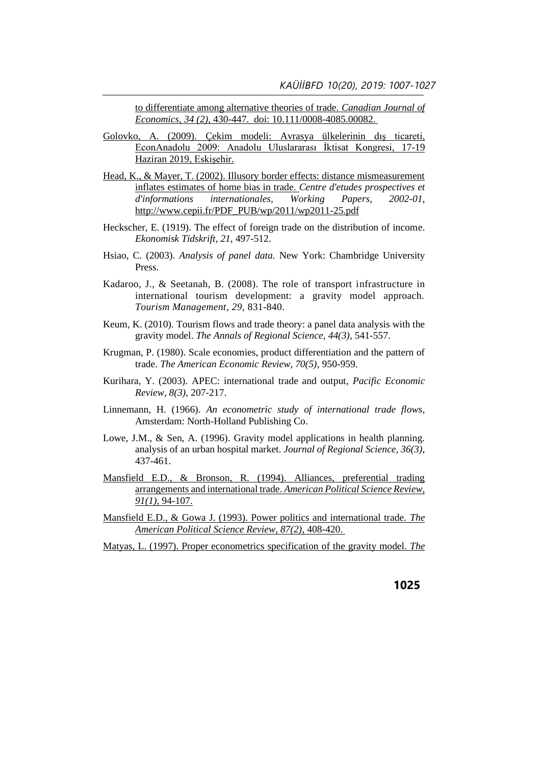to differentiate among alternative theories of trade. *Canadian Journal of Economics, 34 (2),* 430-447. doi: 10.111/0008-4085.00082.

- Golovko, A. (2009). Çekim modeli: Avrasya ülkelerinin dış ticareti, EconAnadolu 2009: Anadolu Uluslararası İktisat Kongresi, 17-19 Haziran 2019, Eskişehir.
- Head, K., & Mayer, T. (2002). Illusory border effects: distance mismeasurement inflates estimates of home bias in trade. *Centre d'etudes prospectives et d'informations internationales, Working Papers, 2002-01,*  [http://www.cepii.fr/PDF\\_PUB/wp/2011/wp2011-25.pdf](http://www.cepii.fr/PDF_PUB/wp/2011/wp2011-25.pdf)
- Heckscher, E. (1919). The effect of foreign trade on the distribution of income. *Ekonomisk Tidskrift*, *21*, 497-512.
- Hsiao, C. (2003). *Analysis of panel data.* New York: Chambridge University Press.
- Kadaroo, J., & Seetanah, B. (2008). The role of transport infrastructure in international tourism development: a gravity model approach. *Tourism Management, 29,* 831-840.
- Keum, K. (2010). Tourism flows and trade theory: a panel data analysis with the gravity model. *The Annals of Regional Science*, *44(3),* 541-557.
- Krugman, P. (1980). Scale economies, product differentiation and the pattern of trade. *The American Economic Review, 70(5),* 950-959.
- Kurihara, Y. (2003). APEC: international trade and output, *Pacific Economic Review, 8(3),* 207-217.
- Linnemann, H. (1966). *An econometric study of international trade flows*, Amsterdam: North-Holland Publishing Co.
- Lowe, J.M., & Sen, A. (1996). Gravity model applications in health planning. analysis of an urban hospital market. *Journal of Regional Science, 36(3),* 437-461.
- Mansfield E.D., & Bronson, R. (1994). Alliances, preferential trading arrangements and international trade. *American Political Science Review*, *91(1),* 94-107.
- Mansfield E.D., & Gowa J. (1993). Power politics and international trade. *The American Political Science Review, 87(2),* 408-420.
- Matyas, L. (1997). Proper econometrics specification of the gravity model. *The*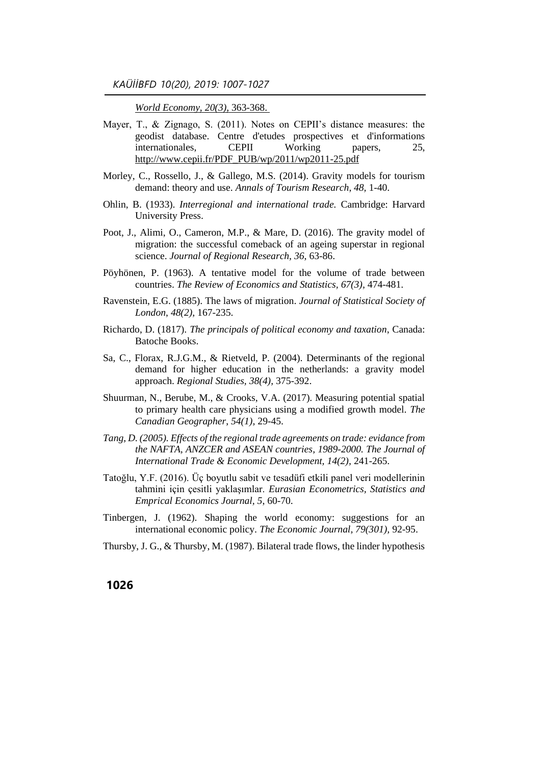*World Economy, 20(3),* 363-368.

- Mayer, T., & Zignago, S. (2011). Notes on CEPII's distance measures: the geodist database. Centre d'etudes prospectives et d'informations internationales, CEPII Working papers, 25, [http://www.cepii.fr/PDF\\_PUB/wp/2011/wp2011-25.pdf](http://www.cepii.fr/PDF_PUB/wp/2011/wp2011-25.pdf)
- Morley, C., Rossello, J., & Gallego, M.S. (2014). Gravity models for tourism demand: theory and use. *Annals of Tourism Research*, *48,* 1-40.
- Ohlin, B. (1933). *Interregional and international trade.* Cambridge: Harvard University Press.
- Poot, J., Alimi, O., Cameron, M.P., & Mare, D. (2016). The gravity model of migration: the successful comeback of an ageing superstar in regional science. *Journal of Regional Research, 36*, 63-86.
- Pöyhönen, P. (1963). A tentative model for the volume of trade between countries. *The Review of Economics and Statistics, 67(3),* 474-481.
- Ravenstein, E.G. (1885). The laws of migration. *Journal of Statistical Society of London*, *48(2),* 167-235.
- Richardo, D. (1817). *The principals of political economy and taxation*, Canada: Batoche Books.
- Sa, C., Florax, R.J.G.M., & Rietveld, P. (2004). Determinants of the regional demand for higher education in the netherlands: a gravity model approach. *Regional Studies, 38(4),* 375-392.
- Shuurman, N., Berube, M., & Crooks, V.A. (2017). Measuring potential spatial to primary health care physicians using a modified growth model. *The Canadian Geographer*, *54(1),* 29-45.
- *Tang, D. (2005). Effects of the regional trade agreements on trade: evidance from the NAFTA, ANZCER and ASEAN countries, 1989-2000. The Journal of International Trade & Economic Development, 14(2),* 241-265.
- Tatoğlu, Y.F. (2016). Üç boyutlu sabit ve tesadüfi etkili panel veri modellerinin tahmini için çesitli yaklaşımlar. *Eurasian Econometrics, Statistics and Emprical Economics Journal, 5*, 60-70.
- Tinbergen, J. (1962). Shaping the world economy: suggestions for an international economic policy. *The Economic Journal, 79(301),* 92-95.
- Thursby, J. G., & Thursby, M. (1987). Bilateral trade flows, the linder hypothesis